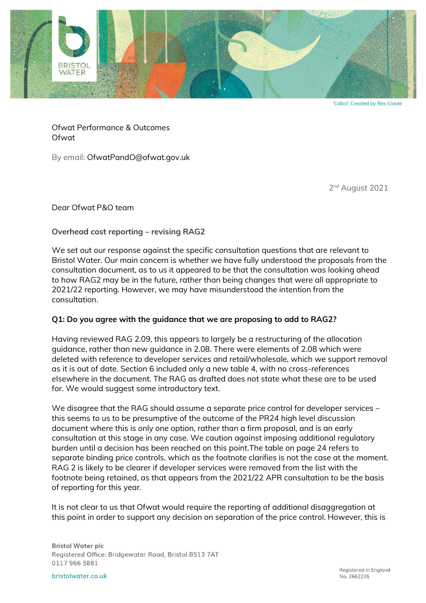

'Cabot' Created by Bex Glover

Ofwat Performance & Outcomes Ofwat

By email: OfwatPandO@ofwat.gov.uk

2 nd August 2021

Dear Ofwat P&O team

## **Overhead cost reporting – revising RAG2**

We set out our response against the specific consultation questions that are relevant to Bristol Water. Our main concern is whether we have fully understood the proposals from the consultation document, as to us it appeared to be that the consultation was looking ahead to how RAG2 may be in the future, rather than being changes that were all appropriate to 2021/22 reporting. However, we may have misunderstood the intention from the consultation.

## **Q1: Do you agree with the guidance that we are proposing to add to RAG2?**

Having reviewed RAG 2.09, this appears to largely be a restructuring of the allocation guidance, rather than new guidance in 2.08. There were elements of 2.08 which were deleted with reference to developer services and retail/wholesale, which we support removal as it is out of date. Section 6 included only a new table 4, with no cross-references elsewhere in the document. The RAG as drafted does not state what these are to be used for. We would suggest some introductory text.

We disagree that the RAG should assume a separate price control for developer services – this seems to us to be presumptive of the outcome of the PR24 high level discussion document where this is only one option, rather than a firm proposal, and is an early consultation at this stage in any case. We caution against imposing additional regulatory burden until a decision has been reached on this point.The table on page 24 refers to separate binding price controls, which as the footnote clarifies is not the case at the moment. RAG 2 is likely to be clearer if developer services were removed from the list with the footnote being retained, as that appears from the 2021/22 APR consultation to be the basis of reporting for this year.

It is not clear to us that Ofwat would require the reporting of additional disaggregation at this point in order to support any decision on separation of the price control. However, this is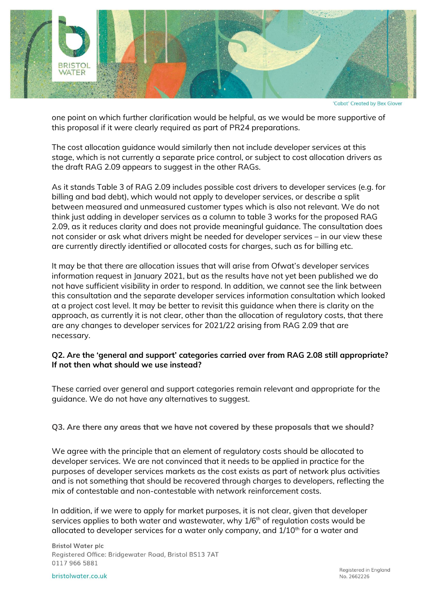

'Cabot' Created by Bex Glover

one point on which further clarification would be helpful, as we would be more supportive of this proposal if it were clearly required as part of PR24 preparations.

The cost allocation guidance would similarly then not include developer services at this stage, which is not currently a separate price control, or subject to cost allocation drivers as the draft RAG 2.09 appears to suggest in the other RAGs.

As it stands Table 3 of RAG 2.09 includes possible cost drivers to developer services (e.g. for billing and bad debt), which would not apply to developer services, or describe a split between measured and unmeasured customer types which is also not relevant. We do not think just adding in developer services as a column to table 3 works for the proposed RAG 2.09, as it reduces clarity and does not provide meaningful guidance. The consultation does not consider or ask what drivers might be needed for developer services – in our view these are currently directly identified or allocated costs for charges, such as for billing etc.

It may be that there are allocation issues that will arise from Ofwat's developer services information request in January 2021, but as the results have not yet been published we do not have sufficient visibility in order to respond. In addition, we cannot see the link between this consultation and the separate developer services information consultation which looked at a project cost level. It may be better to revisit this guidance when there is clarity on the approach, as currently it is not clear, other than the allocation of regulatory costs, that there are any changes to developer services for 2021/22 arising from RAG 2.09 that are necessary.

## **Q2. Are the 'general and support' categories carried over from RAG 2.08 still appropriate? If not then what should we use instead?**

These carried over general and support categories remain relevant and appropriate for the guidance. We do not have any alternatives to suggest.

## **Q3. Are there any areas that we have not covered by these proposals that we should?**

We agree with the principle that an element of regulatory costs should be allocated to developer services. We are not convinced that it needs to be applied in practice for the purposes of developer services markets as the cost exists as part of network plus activities and is not something that should be recovered through charges to developers, reflecting the mix of contestable and non-contestable with network reinforcement costs.

In addition, if we were to apply for market purposes, it is not clear, given that developer services applies to both water and wastewater, why 1/6<sup>th</sup> of regulation costs would be allocated to developer services for a water only company, and  $1/10<sup>th</sup>$  for a water and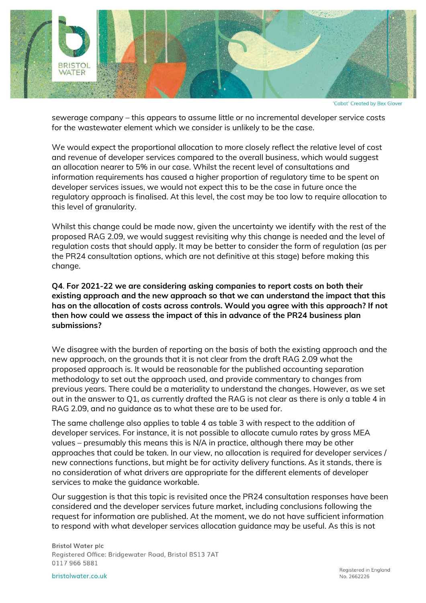

'Cabot' Created by Bex Glover

sewerage company – this appears to assume little or no incremental developer service costs for the wastewater element which we consider is unlikely to be the case.

We would expect the proportional allocation to more closely reflect the relative level of cost and revenue of developer services compared to the overall business, which would suggest an allocation nearer to 5% in our case. Whilst the recent level of consultations and information requirements has caused a higher proportion of regulatory time to be spent on developer services issues, we would not expect this to be the case in future once the regulatory approach is finalised. At this level, the cost may be too low to require allocation to this level of granularity.

Whilst this change could be made now, given the uncertainty we identify with the rest of the proposed RAG 2.09, we would suggest revisiting why this change is needed and the level of regulation costs that should apply. It may be better to consider the form of regulation (as per the PR24 consultation options, which are not definitive at this stage) before making this change.

**Q4**. **For 2021-22 we are considering asking companies to report costs on both their existing approach and the new approach so that we can understand the impact that this has on the allocation of costs across controls. Would you agree with this approach? If not then how could we assess the impact of this in advance of the PR24 business plan submissions?**

We disagree with the burden of reporting on the basis of both the existing approach and the new approach, on the grounds that it is not clear from the draft RAG 2.09 what the proposed approach is. It would be reasonable for the published accounting separation methodology to set out the approach used, and provide commentary to changes from previous years. There could be a materiality to understand the changes. However, as we set out in the answer to Q1, as currently drafted the RAG is not clear as there is only a table 4 in RAG 2.09, and no guidance as to what these are to be used for.

The same challenge also applies to table 4 as table 3 with respect to the addition of developer services. For instance, it is not possible to allocate cumulo rates by gross MEA values – presumably this means this is N/A in practice, although there may be other approaches that could be taken. In our view, no allocation is required for developer services / new connections functions, but might be for activity delivery functions. As it stands, there is no consideration of what drivers are appropriate for the different elements of developer services to make the guidance workable.

Our suggestion is that this topic is revisited once the PR24 consultation responses have been considered and the developer services future market, including conclusions following the request for information are published. At the moment, we do not have sufficient information to respond with what developer services allocation guidance may be useful. As this is not